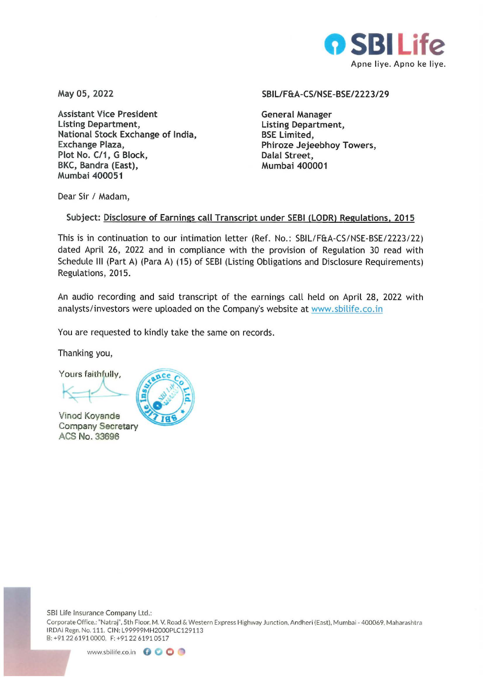

May 05, 2022

Assistant Vice President Listing Department, National Stock Exchange of India, Exchange Plaza, Plot No. C/1, G Block, BKC, Bandra (East), Mumbai 400051

#### SBIL/F&A-CS/NSE-BSE/2223/29

General Manager Listing Department, BSE Limited, Phiroze Jejeebhoy Towers, Dalal Street, Mumbai 400001

Dear Sir / Madam,

## Subject: Disclosure of Earnings call Transcript under SEBI (LODR) Regulations, 2015

This is in continuation to our intimation letter (Ref. No.: SBIL/F&A-CS/NSE-BSE/2223122) dated April 26, 2022 and in compliance with the provision of Regulation 30 read with Schedule Ill (Part A) (Para A) (15) of SEBI (Listing Obligations and Disclosure Requirements) Regulations, 2015.

An audio recording and said transcript of the earnings call held on April 28, 2022 with analysts/ investors were uploaded on the Company's website at www.sbilife.co.in

You are requested to kindly take the same on records.

Thanking you,

Yours faithfully,

Vinod Koyande Company Secretary ACS No. 33696



SBI Life Insurance Company Ltd.:

Corporate Office.: "Natraj", 5th Floor, M. V. Road & Western Express Highway Junction, Andheri (East), Mumbai - 400069, Maharashtra IRDAi Regn. No. 111. CIN: L99999MH2000PLC129113 8: +912261910000. F:+91226191 05 17

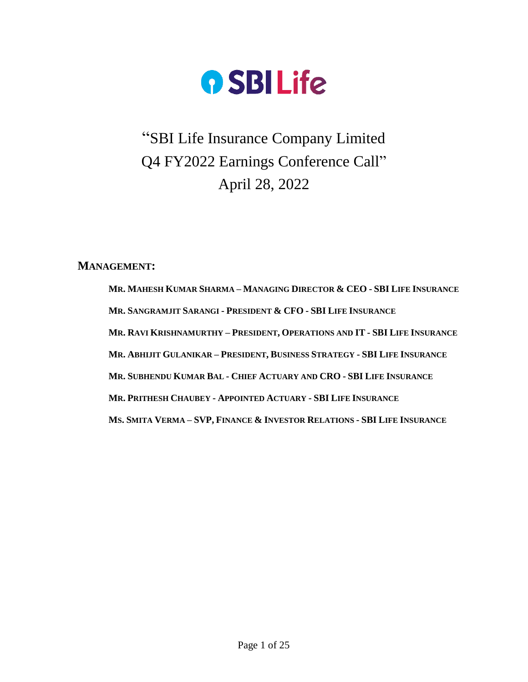

# "SBI Life Insurance Company Limited Q4 FY2022 Earnings Conference Call" April 28, 2022

**MANAGEMENT:**

**MR. MAHESH KUMAR SHARMA – MANAGING DIRECTOR & CEO - SBI LIFE INSURANCE MR. SANGRAMJIT SARANGI - PRESIDENT & CFO - SBI LIFE INSURANCE MR. RAVI KRISHNAMURTHY – PRESIDENT, OPERATIONS AND IT - SBI LIFE INSURANCE MR. ABHIJIT GULANIKAR – PRESIDENT, BUSINESS STRATEGY - SBI LIFE INSURANCE MR. SUBHENDU KUMAR BAL - CHIEF ACTUARY AND CRO - SBI LIFE INSURANCE MR. PRITHESH CHAUBEY - APPOINTED ACTUARY - SBI LIFE INSURANCE** MS. SMITA VERMA-SVP, FINANCE & INVESTOR RELATIONS - SBI LIFE INSURANCE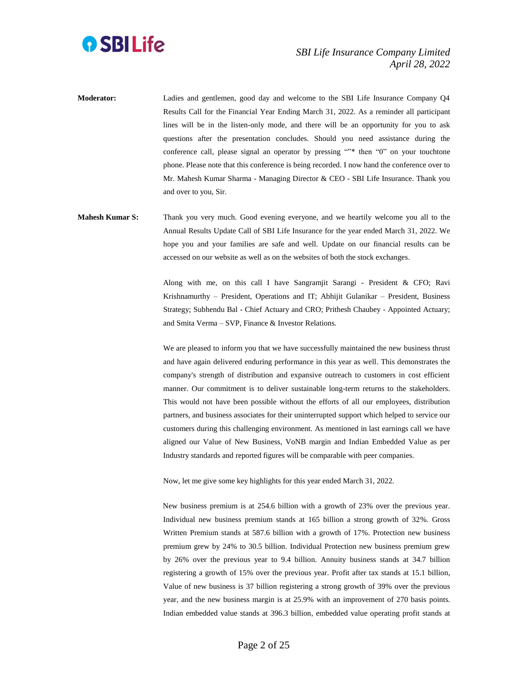

- **Moderator:** Ladies and gentlemen, good day and welcome to the SBI Life Insurance Company Q4 Results Call for the Financial Year Ending March 31, 2022. As a reminder all participant lines will be in the listen-only mode, and there will be an opportunity for you to ask questions after the presentation concludes. Should you need assistance during the conference call, please signal an operator by pressing ""\* then "0" on your touchtone phone. Please note that this conference is being recorded. I now hand the conference over to Mr. Mahesh Kumar Sharma - Managing Director & CEO - SBI Life Insurance. Thank you and over to you, Sir.
- **Mahesh Kumar S:** Thank you very much. Good evening everyone, and we heartily welcome you all to the Annual Results Update Call of SBI Life Insurance for the year ended March 31, 2022. We hope you and your families are safe and well. Update on our financial results can be accessed on our website as well as on the websites of both the stock exchanges.

Along with me, on this call I have Sangramjit Sarangi - President & CFO; Ravi Krishnamurthy – President, Operations and IT; Abhijit Gulanikar – President, Business Strategy; Subhendu Bal - Chief Actuary and CRO; Prithesh Chaubey - Appointed Actuary; and Smita Verma – SVP, Finance & Investor Relations.

We are pleased to inform you that we have successfully maintained the new business thrust and have again delivered enduring performance in this year as well. This demonstrates the company's strength of distribution and expansive outreach to customers in cost efficient manner. Our commitment is to deliver sustainable long-term returns to the stakeholders. This would not have been possible without the efforts of all our employees, distribution partners, and business associates for their uninterrupted support which helped to service our customers during this challenging environment. As mentioned in last earnings call we have aligned our Value of New Business, VoNB margin and Indian Embedded Value as per Industry standards and reported figures will be comparable with peer companies.

Now, let me give some key highlights for this year ended March 31, 2022.

New business premium is at 254.6 billion with a growth of 23% over the previous year. Individual new business premium stands at 165 billion a strong growth of 32%. Gross Written Premium stands at 587.6 billion with a growth of 17%. Protection new business premium grew by 24% to 30.5 billion. Individual Protection new business premium grew by 26% over the previous year to 9.4 billion. Annuity business stands at 34.7 billion registering a growth of 15% over the previous year. Profit after tax stands at 15.1 billion, Value of new business is 37 billion registering a strong growth of 39% over the previous year, and the new business margin is at 25.9% with an improvement of 270 basis points. Indian embedded value stands at 396.3 billion, embedded value operating profit stands at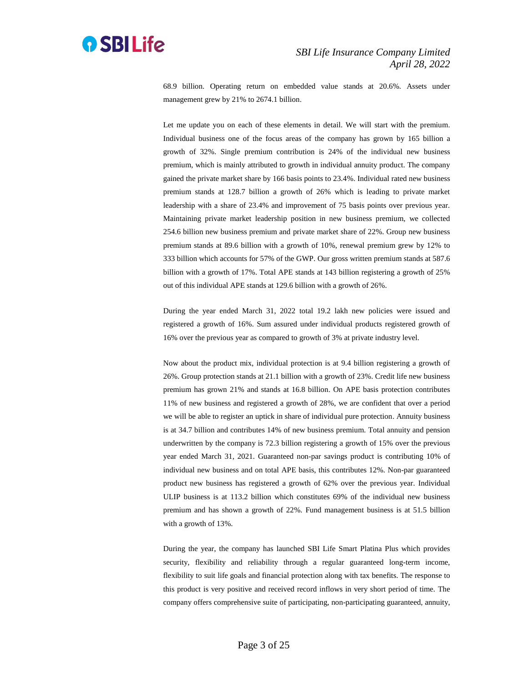

68.9 billion. Operating return on embedded value stands at 20.6%. Assets under management grew by 21% to 2674.1 billion.

Let me update you on each of these elements in detail. We will start with the premium. Individual business one of the focus areas of the company has grown by 165 billion a growth of 32%. Single premium contribution is 24% of the individual new business premium, which is mainly attributed to growth in individual annuity product. The company gained the private market share by 166 basis points to 23.4%. Individual rated new business premium stands at 128.7 billion a growth of 26% which is leading to private market leadership with a share of 23.4% and improvement of 75 basis points over previous year. Maintaining private market leadership position in new business premium, we collected 254.6 billion new business premium and private market share of 22%. Group new business premium stands at 89.6 billion with a growth of 10%, renewal premium grew by 12% to 333 billion which accounts for 57% of the GWP. Our gross written premium stands at 587.6 billion with a growth of 17%. Total APE stands at 143 billion registering a growth of 25% out of this individual APE stands at 129.6 billion with a growth of 26%.

During the year ended March 31, 2022 total 19.2 lakh new policies were issued and registered a growth of 16%. Sum assured under individual products registered growth of 16% over the previous year as compared to growth of 3% at private industry level.

Now about the product mix, individual protection is at 9.4 billion registering a growth of 26%. Group protection stands at 21.1 billion with a growth of 23%. Credit life new business premium has grown 21% and stands at 16.8 billion. On APE basis protection contributes 11% of new business and registered a growth of 28%, we are confident that over a period we will be able to register an uptick in share of individual pure protection. Annuity business is at 34.7 billion and contributes 14% of new business premium. Total annuity and pension underwritten by the company is 72.3 billion registering a growth of 15% over the previous year ended March 31, 2021. Guaranteed non-par savings product is contributing 10% of individual new business and on total APE basis, this contributes 12%. Non-par guaranteed product new business has registered a growth of 62% over the previous year. Individual ULIP business is at 113.2 billion which constitutes 69% of the individual new business premium and has shown a growth of 22%. Fund management business is at 51.5 billion with a growth of 13%.

During the year, the company has launched SBI Life Smart Platina Plus which provides security, flexibility and reliability through a regular guaranteed long-term income, flexibility to suit life goals and financial protection along with tax benefits. The response to this product is very positive and received record inflows in very short period of time. The company offers comprehensive suite of participating, non-participating guaranteed, annuity,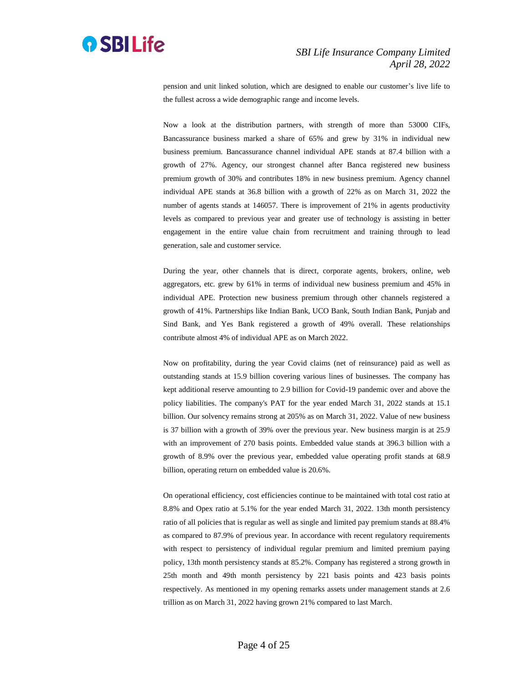

pension and unit linked solution, which are designed to enable our customer's live life to the fullest across a wide demographic range and income levels.

Now a look at the distribution partners, with strength of more than 53000 CIFs, Bancassurance business marked a share of 65% and grew by 31% in individual new business premium. Bancassurance channel individual APE stands at 87.4 billion with a growth of 27%. Agency, our strongest channel after Banca registered new business premium growth of 30% and contributes 18% in new business premium. Agency channel individual APE stands at 36.8 billion with a growth of 22% as on March 31, 2022 the number of agents stands at 146057. There is improvement of 21% in agents productivity levels as compared to previous year and greater use of technology is assisting in better engagement in the entire value chain from recruitment and training through to lead generation, sale and customer service.

During the year, other channels that is direct, corporate agents, brokers, online, web aggregators, etc. grew by 61% in terms of individual new business premium and 45% in individual APE. Protection new business premium through other channels registered a growth of 41%. Partnerships like Indian Bank, UCO Bank, South Indian Bank, Punjab and Sind Bank, and Yes Bank registered a growth of 49% overall. These relationships contribute almost 4% of individual APE as on March 2022.

Now on profitability, during the year Covid claims (net of reinsurance) paid as well as outstanding stands at 15.9 billion covering various lines of businesses. The company has kept additional reserve amounting to 2.9 billion for Covid-19 pandemic over and above the policy liabilities. The company's PAT for the year ended March 31, 2022 stands at 15.1 billion. Our solvency remains strong at 205% as on March 31, 2022. Value of new business is 37 billion with a growth of 39% over the previous year. New business margin is at 25.9 with an improvement of 270 basis points. Embedded value stands at 396.3 billion with a growth of 8.9% over the previous year, embedded value operating profit stands at 68.9 billion, operating return on embedded value is 20.6%.

On operational efficiency, cost efficiencies continue to be maintained with total cost ratio at 8.8% and Opex ratio at 5.1% for the year ended March 31, 2022. 13th month persistency ratio of all policies that is regular as well as single and limited pay premium stands at 88.4% as compared to 87.9% of previous year. In accordance with recent regulatory requirements with respect to persistency of individual regular premium and limited premium paying policy, 13th month persistency stands at 85.2%. Company has registered a strong growth in 25th month and 49th month persistency by 221 basis points and 423 basis points respectively. As mentioned in my opening remarks assets under management stands at 2.6 trillion as on March 31, 2022 having grown 21% compared to last March.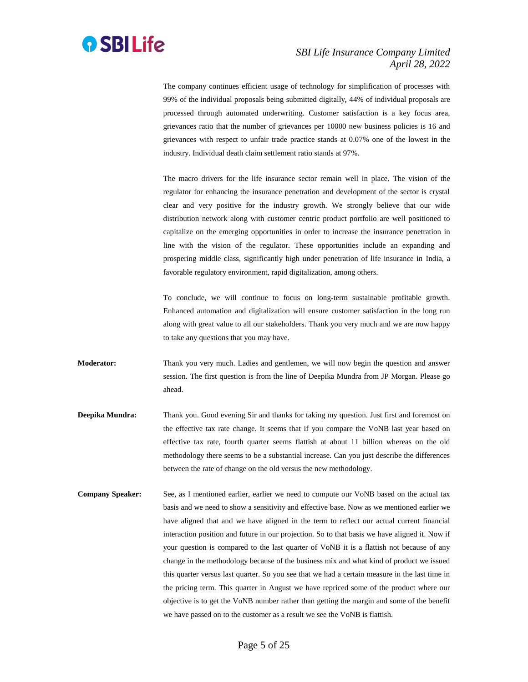

The company continues efficient usage of technology for simplification of processes with 99% of the individual proposals being submitted digitally, 44% of individual proposals are processed through automated underwriting. Customer satisfaction is a key focus area, grievances ratio that the number of grievances per 10000 new business policies is 16 and grievances with respect to unfair trade practice stands at 0.07% one of the lowest in the industry. Individual death claim settlement ratio stands at 97%.

The macro drivers for the life insurance sector remain well in place. The vision of the regulator for enhancing the insurance penetration and development of the sector is crystal clear and very positive for the industry growth. We strongly believe that our wide distribution network along with customer centric product portfolio are well positioned to capitalize on the emerging opportunities in order to increase the insurance penetration in line with the vision of the regulator. These opportunities include an expanding and prospering middle class, significantly high under penetration of life insurance in India, a favorable regulatory environment, rapid digitalization, among others.

To conclude, we will continue to focus on long-term sustainable profitable growth. Enhanced automation and digitalization will ensure customer satisfaction in the long run along with great value to all our stakeholders. Thank you very much and we are now happy to take any questions that you may have.

- **Moderator:** Thank you very much. Ladies and gentlemen, we will now begin the question and answer session. The first question is from the line of Deepika Mundra from JP Morgan. Please go ahead.
- **Deepika Mundra:** Thank you. Good evening Sir and thanks for taking my question. Just first and foremost on the effective tax rate change. It seems that if you compare the VoNB last year based on effective tax rate, fourth quarter seems flattish at about 11 billion whereas on the old methodology there seems to be a substantial increase. Can you just describe the differences between the rate of change on the old versus the new methodology.
- **Company Speaker:** See, as I mentioned earlier, earlier we need to compute our VoNB based on the actual tax basis and we need to show a sensitivity and effective base. Now as we mentioned earlier we have aligned that and we have aligned in the term to reflect our actual current financial interaction position and future in our projection. So to that basis we have aligned it. Now if your question is compared to the last quarter of VoNB it is a flattish not because of any change in the methodology because of the business mix and what kind of product we issued this quarter versus last quarter. So you see that we had a certain measure in the last time in the pricing term. This quarter in August we have repriced some of the product where our objective is to get the VoNB number rather than getting the margin and some of the benefit we have passed on to the customer as a result we see the VoNB is flattish.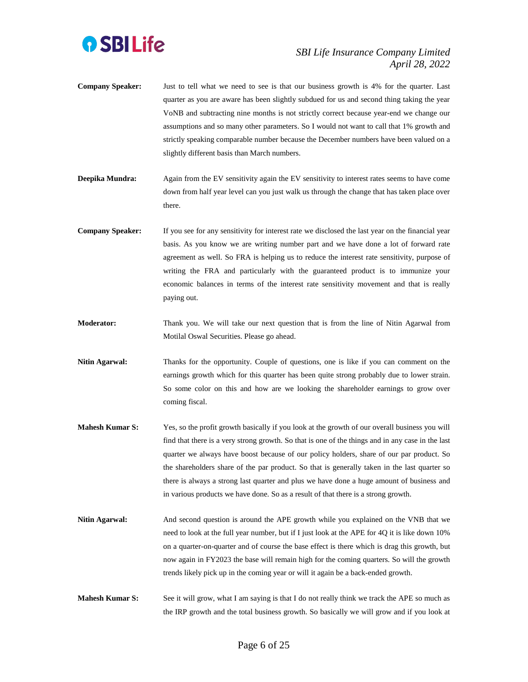

- **Company Speaker:** Just to tell what we need to see is that our business growth is 4% for the quarter. Last quarter as you are aware has been slightly subdued for us and second thing taking the year VoNB and subtracting nine months is not strictly correct because year-end we change our assumptions and so many other parameters. So I would not want to call that 1% growth and strictly speaking comparable number because the December numbers have been valued on a slightly different basis than March numbers.
- **Deepika Mundra:** Again from the EV sensitivity again the EV sensitivity to interest rates seems to have come down from half year level can you just walk us through the change that has taken place over there.
- **Company Speaker:** If you see for any sensitivity for interest rate we disclosed the last year on the financial year basis. As you know we are writing number part and we have done a lot of forward rate agreement as well. So FRA is helping us to reduce the interest rate sensitivity, purpose of writing the FRA and particularly with the guaranteed product is to immunize your economic balances in terms of the interest rate sensitivity movement and that is really paying out.
- **Moderator:** Thank you. We will take our next question that is from the line of Nitin Agarwal from Motilal Oswal Securities. Please go ahead.
- **Nitin Agarwal:** Thanks for the opportunity. Couple of questions, one is like if you can comment on the earnings growth which for this quarter has been quite strong probably due to lower strain. So some color on this and how are we looking the shareholder earnings to grow over coming fiscal.
- **Mahesh Kumar S:** Yes, so the profit growth basically if you look at the growth of our overall business you will find that there is a very strong growth. So that is one of the things and in any case in the last quarter we always have boost because of our policy holders, share of our par product. So the shareholders share of the par product. So that is generally taken in the last quarter so there is always a strong last quarter and plus we have done a huge amount of business and in various products we have done. So as a result of that there is a strong growth.
- **Nitin Agarwal:** And second question is around the APE growth while you explained on the VNB that we need to look at the full year number, but if I just look at the APE for 4Q it is like down 10% on a quarter-on-quarter and of course the base effect is there which is drag this growth, but now again in FY2023 the base will remain high for the coming quarters. So will the growth trends likely pick up in the coming year or will it again be a back-ended growth.
- **Mahesh Kumar S:** See it will grow, what I am saying is that I do not really think we track the APE so much as the IRP growth and the total business growth. So basically we will grow and if you look at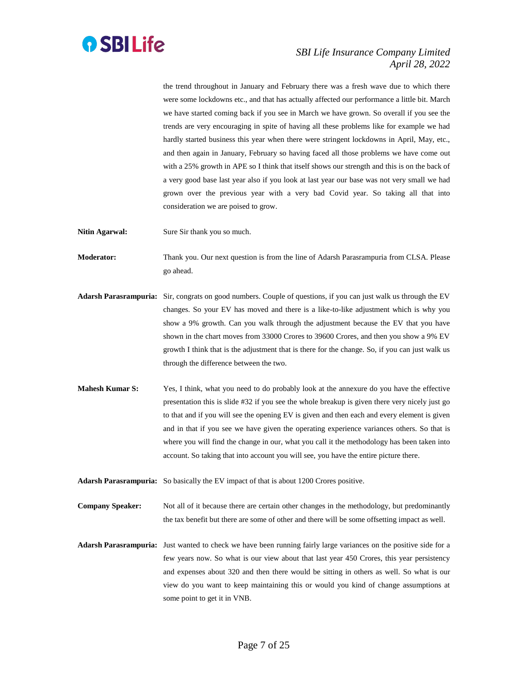

the trend throughout in January and February there was a fresh wave due to which there were some lockdowns etc., and that has actually affected our performance a little bit. March we have started coming back if you see in March we have grown. So overall if you see the trends are very encouraging in spite of having all these problems like for example we had hardly started business this year when there were stringent lockdowns in April, May, etc., and then again in January, February so having faced all those problems we have come out with a 25% growth in APE so I think that itself shows our strength and this is on the back of a very good base last year also if you look at last year our base was not very small we had grown over the previous year with a very bad Covid year. So taking all that into consideration we are poised to grow.

**Nitin Agarwal:** Sure Sir thank you so much.

**Moderator:** Thank you. Our next question is from the line of Adarsh Parasrampuria from CLSA. Please go ahead.

- **Adarsh Parasrampuria:** Sir, congrats on good numbers. Couple of questions, if you can just walk us through the EV changes. So your EV has moved and there is a like-to-like adjustment which is why you show a 9% growth. Can you walk through the adjustment because the EV that you have shown in the chart moves from 33000 Crores to 39600 Crores, and then you show a 9% EV growth I think that is the adjustment that is there for the change. So, if you can just walk us through the difference between the two.
- **Mahesh Kumar S:** Yes, I think, what you need to do probably look at the annexure do you have the effective presentation this is slide #32 if you see the whole breakup is given there very nicely just go to that and if you will see the opening EV is given and then each and every element is given and in that if you see we have given the operating experience variances others. So that is where you will find the change in our, what you call it the methodology has been taken into account. So taking that into account you will see, you have the entire picture there.
- **Adarsh Parasrampuria:** So basically the EV impact of that is about 1200 Crores positive.

**Company Speaker:** Not all of it because there are certain other changes in the methodology, but predominantly the tax benefit but there are some of other and there will be some offsetting impact as well.

**Adarsh Parasrampuria:** Just wanted to check we have been running fairly large variances on the positive side for a few years now. So what is our view about that last year 450 Crores, this year persistency and expenses about 320 and then there would be sitting in others as well. So what is our view do you want to keep maintaining this or would you kind of change assumptions at some point to get it in VNB.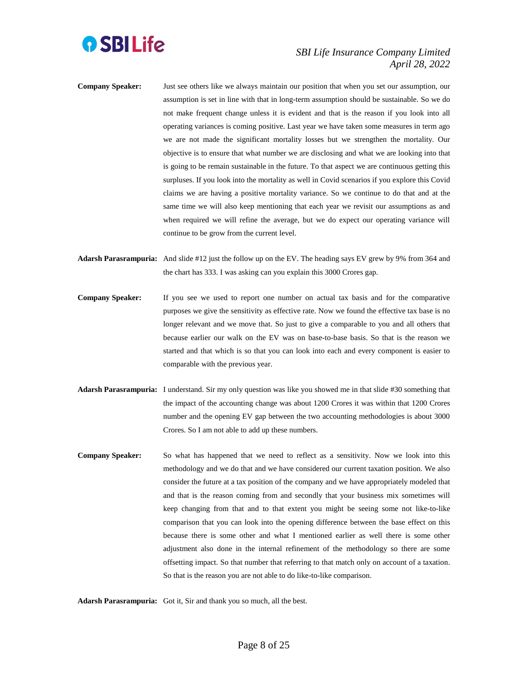

- **Company Speaker:** Just see others like we always maintain our position that when you set our assumption, our assumption is set in line with that in long-term assumption should be sustainable. So we do not make frequent change unless it is evident and that is the reason if you look into all operating variances is coming positive. Last year we have taken some measures in term ago we are not made the significant mortality losses but we strengthen the mortality. Our objective is to ensure that what number we are disclosing and what we are looking into that is going to be remain sustainable in the future. To that aspect we are continuous getting this surpluses. If you look into the mortality as well in Covid scenarios if you explore this Covid claims we are having a positive mortality variance. So we continue to do that and at the same time we will also keep mentioning that each year we revisit our assumptions as and when required we will refine the average, but we do expect our operating variance will continue to be grow from the current level.
- **Adarsh Parasrampuria:** And slide #12 just the follow up on the EV. The heading says EV grew by 9% from 364 and the chart has 333. I was asking can you explain this 3000 Crores gap.
- **Company Speaker:** If you see we used to report one number on actual tax basis and for the comparative purposes we give the sensitivity as effective rate. Now we found the effective tax base is no longer relevant and we move that. So just to give a comparable to you and all others that because earlier our walk on the EV was on base-to-base basis. So that is the reason we started and that which is so that you can look into each and every component is easier to comparable with the previous year.
- **Adarsh Parasrampuria:** I understand. Sir my only question was like you showed me in that slide #30 something that the impact of the accounting change was about 1200 Crores it was within that 1200 Crores number and the opening EV gap between the two accounting methodologies is about 3000 Crores. So I am not able to add up these numbers.
- **Company Speaker:** So what has happened that we need to reflect as a sensitivity. Now we look into this methodology and we do that and we have considered our current taxation position. We also consider the future at a tax position of the company and we have appropriately modeled that and that is the reason coming from and secondly that your business mix sometimes will keep changing from that and to that extent you might be seeing some not like-to-like comparison that you can look into the opening difference between the base effect on this because there is some other and what I mentioned earlier as well there is some other adjustment also done in the internal refinement of the methodology so there are some offsetting impact. So that number that referring to that match only on account of a taxation. So that is the reason you are not able to do like-to-like comparison.

**Adarsh Parasrampuria:** Got it, Sir and thank you so much, all the best.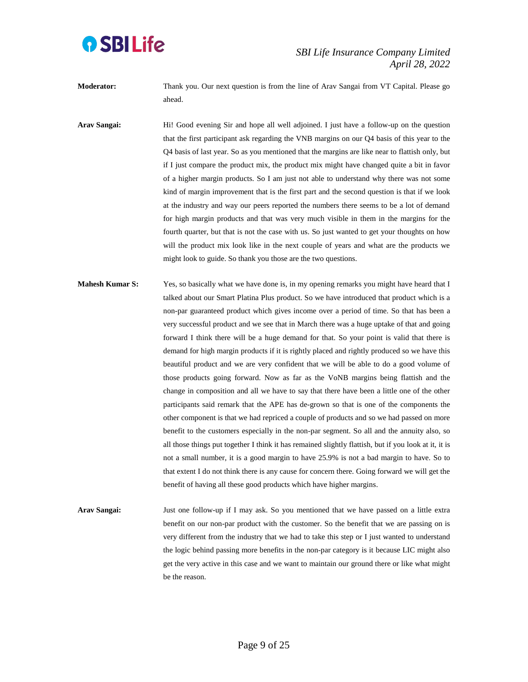

**Moderator:** Thank you. Our next question is from the line of Arav Sangai from VT Capital. Please go ahead.

**Arav Sangai:** Hi! Good evening Sir and hope all well adjoined. I just have a follow-up on the question that the first participant ask regarding the VNB margins on our Q4 basis of this year to the Q4 basis of last year. So as you mentioned that the margins are like near to flattish only, but if I just compare the product mix, the product mix might have changed quite a bit in favor of a higher margin products. So I am just not able to understand why there was not some kind of margin improvement that is the first part and the second question is that if we look at the industry and way our peers reported the numbers there seems to be a lot of demand for high margin products and that was very much visible in them in the margins for the fourth quarter, but that is not the case with us. So just wanted to get your thoughts on how will the product mix look like in the next couple of years and what are the products we might look to guide. So thank you those are the two questions.

- **Mahesh Kumar S:** Yes, so basically what we have done is, in my opening remarks you might have heard that I talked about our Smart Platina Plus product. So we have introduced that product which is a non-par guaranteed product which gives income over a period of time. So that has been a very successful product and we see that in March there was a huge uptake of that and going forward I think there will be a huge demand for that. So your point is valid that there is demand for high margin products if it is rightly placed and rightly produced so we have this beautiful product and we are very confident that we will be able to do a good volume of those products going forward. Now as far as the VoNB margins being flattish and the change in composition and all we have to say that there have been a little one of the other participants said remark that the APE has de-grown so that is one of the components the other component is that we had repriced a couple of products and so we had passed on more benefit to the customers especially in the non-par segment. So all and the annuity also, so all those things put together I think it has remained slightly flattish, but if you look at it, it is not a small number, it is a good margin to have 25.9% is not a bad margin to have. So to that extent I do not think there is any cause for concern there. Going forward we will get the benefit of having all these good products which have higher margins.
- **Arav Sangai:** Just one follow-up if I may ask. So you mentioned that we have passed on a little extra benefit on our non-par product with the customer. So the benefit that we are passing on is very different from the industry that we had to take this step or I just wanted to understand the logic behind passing more benefits in the non-par category is it because LIC might also get the very active in this case and we want to maintain our ground there or like what might be the reason.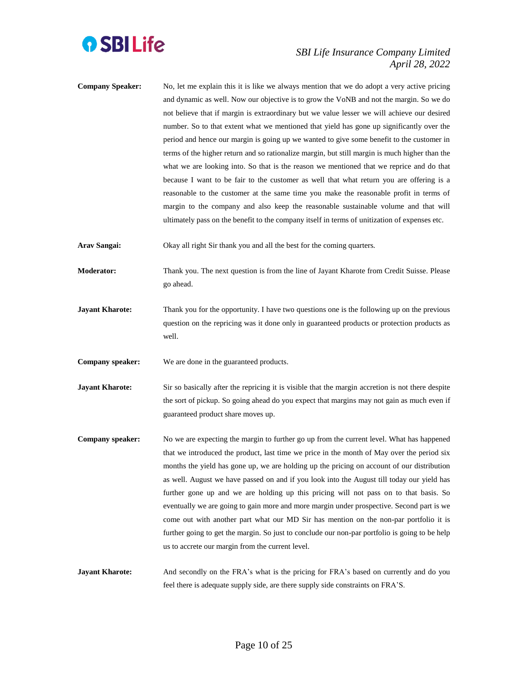

**Company Speaker:** No, let me explain this it is like we always mention that we do adopt a very active pricing and dynamic as well. Now our objective is to grow the VoNB and not the margin. So we do not believe that if margin is extraordinary but we value lesser we will achieve our desired number. So to that extent what we mentioned that yield has gone up significantly over the period and hence our margin is going up we wanted to give some benefit to the customer in terms of the higher return and so rationalize margin, but still margin is much higher than the what we are looking into. So that is the reason we mentioned that we reprice and do that because I want to be fair to the customer as well that what return you are offering is a reasonable to the customer at the same time you make the reasonable profit in terms of margin to the company and also keep the reasonable sustainable volume and that will ultimately pass on the benefit to the company itself in terms of unitization of expenses etc.

**Arav Sangai:** Okay all right Sir thank you and all the best for the coming quarters.

**Moderator:** Thank you. The next question is from the line of Jayant Kharote from Credit Suisse. Please go ahead.

**Jayant Kharote:** Thank you for the opportunity. I have two questions one is the following up on the previous question on the repricing was it done only in guaranteed products or protection products as well.

**Company speaker:** We are done in the guaranteed products.

- **Jayant Kharote:** Sir so basically after the repricing it is visible that the margin accretion is not there despite the sort of pickup. So going ahead do you expect that margins may not gain as much even if guaranteed product share moves up.
- **Company speaker:** No we are expecting the margin to further go up from the current level. What has happened that we introduced the product, last time we price in the month of May over the period six months the yield has gone up, we are holding up the pricing on account of our distribution as well. August we have passed on and if you look into the August till today our yield has further gone up and we are holding up this pricing will not pass on to that basis. So eventually we are going to gain more and more margin under prospective. Second part is we come out with another part what our MD Sir has mention on the non-par portfolio it is further going to get the margin. So just to conclude our non-par portfolio is going to be help us to accrete our margin from the current level.

**Jayant Kharote:** And secondly on the FRA's what is the pricing for FRA's based on currently and do you feel there is adequate supply side, are there supply side constraints on FRA'S.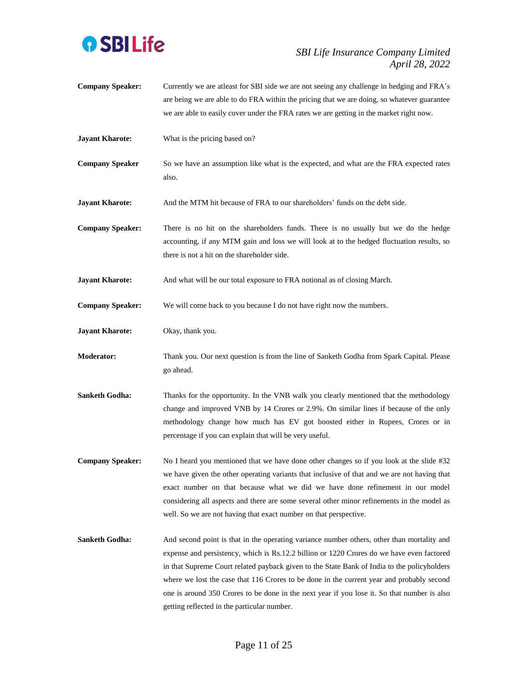

- **Company Speaker:** Currently we are atleast for SBI side we are not seeing any challenge in hedging and FRA's are being we are able to do FRA within the pricing that we are doing, so whatever guarantee we are able to easily cover under the FRA rates we are getting in the market right now.
- **Jayant Kharote:** What is the pricing based on?
- **Company Speaker** So we have an assumption like what is the expected, and what are the FRA expected rates also.

**Jayant Kharote:** And the MTM hit because of FRA to our shareholders' funds on the debt side.

- **Company Speaker:** There is no hit on the shareholders funds. There is no usually but we do the hedge accounting, if any MTM gain and loss we will look at to the hedged fluctuation results, so there is not a hit on the shareholder side.
- **Jayant Kharote:** And what will be our total exposure to FRA notional as of closing March.
- **Company Speaker:** We will come back to you because I do not have right now the numbers.
- **Jayant Kharote:** Okay, thank you.
- **Moderator:** Thank you. Our next question is from the line of Sanketh Godha from Spark Capital. Please go ahead.
- **Sanketh Godha:** Thanks for the opportunity. In the VNB walk you clearly mentioned that the methodology change and improved VNB by 14 Crores or 2.9%. On similar lines if because of the only methodology change how much has EV got boosted either in Rupees, Crores or in percentage if you can explain that will be very useful.
- **Company Speaker:** No I heard you mentioned that we have done other changes so if you look at the slide #32 we have given the other operating variants that inclusive of that and we are not having that exact number on that because what we did we have done refinement in our model considering all aspects and there are some several other minor refinements in the model as well. So we are not having that exact number on that perspective.
- **Sanketh Godha:** And second point is that in the operating variance number others, other than mortality and expense and persistency, which is Rs.12.2 billion or 1220 Crores do we have even factored in that Supreme Court related payback given to the State Bank of India to the policyholders where we lost the case that 116 Crores to be done in the current year and probably second one is around 350 Crores to be done in the next year if you lose it. So that number is also getting reflected in the particular number.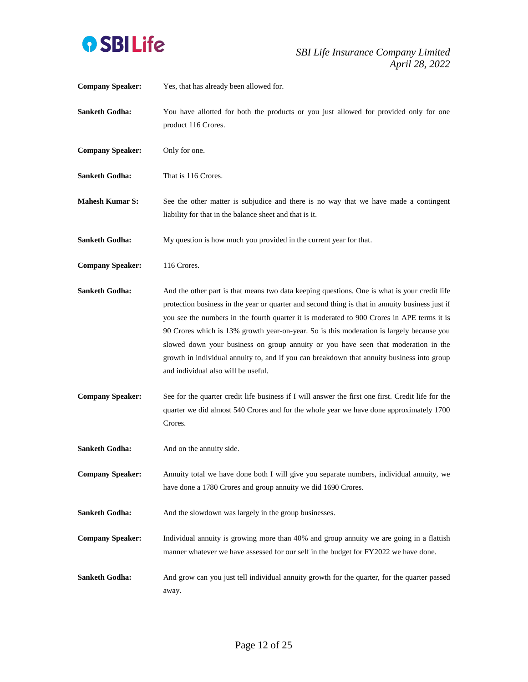

| <b>Company Speaker:</b> | Yes, that has already been allowed for.                                                                                                                                                                                                                                                                                                                                                                                                                                                                                                                                                                              |
|-------------------------|----------------------------------------------------------------------------------------------------------------------------------------------------------------------------------------------------------------------------------------------------------------------------------------------------------------------------------------------------------------------------------------------------------------------------------------------------------------------------------------------------------------------------------------------------------------------------------------------------------------------|
| <b>Sanketh Godha:</b>   | You have allotted for both the products or you just allowed for provided only for one<br>product 116 Crores.                                                                                                                                                                                                                                                                                                                                                                                                                                                                                                         |
| <b>Company Speaker:</b> | Only for one.                                                                                                                                                                                                                                                                                                                                                                                                                                                                                                                                                                                                        |
| <b>Sanketh Godha:</b>   | That is 116 Crores.                                                                                                                                                                                                                                                                                                                                                                                                                                                                                                                                                                                                  |
| <b>Mahesh Kumar S:</b>  | See the other matter is subjudice and there is no way that we have made a contingent<br>liability for that in the balance sheet and that is it.                                                                                                                                                                                                                                                                                                                                                                                                                                                                      |
| <b>Sanketh Godha:</b>   | My question is how much you provided in the current year for that.                                                                                                                                                                                                                                                                                                                                                                                                                                                                                                                                                   |
| <b>Company Speaker:</b> | 116 Crores.                                                                                                                                                                                                                                                                                                                                                                                                                                                                                                                                                                                                          |
| <b>Sanketh Godha:</b>   | And the other part is that means two data keeping questions. One is what is your credit life<br>protection business in the year or quarter and second thing is that in annuity business just if<br>you see the numbers in the fourth quarter it is moderated to 900 Crores in APE terms it is<br>90 Crores which is 13% growth year-on-year. So is this moderation is largely because you<br>slowed down your business on group annuity or you have seen that moderation in the<br>growth in individual annuity to, and if you can breakdown that annuity business into group<br>and individual also will be useful. |
| <b>Company Speaker:</b> | See for the quarter credit life business if I will answer the first one first. Credit life for the<br>quarter we did almost 540 Crores and for the whole year we have done approximately 1700<br>Crores.                                                                                                                                                                                                                                                                                                                                                                                                             |
| <b>Sanketh Godha:</b>   | And on the annuity side.                                                                                                                                                                                                                                                                                                                                                                                                                                                                                                                                                                                             |
| <b>Company Speaker:</b> | Annuity total we have done both I will give you separate numbers, individual annuity, we<br>have done a 1780 Crores and group annuity we did 1690 Crores.                                                                                                                                                                                                                                                                                                                                                                                                                                                            |
| <b>Sanketh Godha:</b>   | And the slowdown was largely in the group businesses.                                                                                                                                                                                                                                                                                                                                                                                                                                                                                                                                                                |
| <b>Company Speaker:</b> | Individual annuity is growing more than 40% and group annuity we are going in a flattish<br>manner whatever we have assessed for our self in the budget for FY2022 we have done.                                                                                                                                                                                                                                                                                                                                                                                                                                     |
| <b>Sanketh Godha:</b>   | And grow can you just tell individual annuity growth for the quarter, for the quarter passed<br>away.                                                                                                                                                                                                                                                                                                                                                                                                                                                                                                                |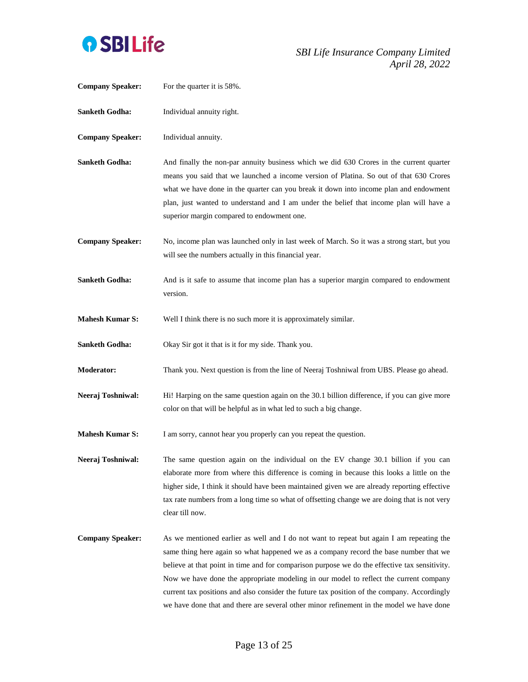

| <b>Company Speaker:</b> | For the quarter it is 58%.                                                                                                                                                                                                                                                                                                                                                                                                                                                                                                                                             |
|-------------------------|------------------------------------------------------------------------------------------------------------------------------------------------------------------------------------------------------------------------------------------------------------------------------------------------------------------------------------------------------------------------------------------------------------------------------------------------------------------------------------------------------------------------------------------------------------------------|
| Sanketh Godha:          | Individual annuity right.                                                                                                                                                                                                                                                                                                                                                                                                                                                                                                                                              |
| <b>Company Speaker:</b> | Individual annuity.                                                                                                                                                                                                                                                                                                                                                                                                                                                                                                                                                    |
| Sanketh Godha:          | And finally the non-par annuity business which we did 630 Crores in the current quarter<br>means you said that we launched a income version of Platina. So out of that 630 Crores<br>what we have done in the quarter can you break it down into income plan and endowment<br>plan, just wanted to understand and I am under the belief that income plan will have a<br>superior margin compared to endowment one.                                                                                                                                                     |
| <b>Company Speaker:</b> | No, income plan was launched only in last week of March. So it was a strong start, but you<br>will see the numbers actually in this financial year.                                                                                                                                                                                                                                                                                                                                                                                                                    |
| Sanketh Godha:          | And is it safe to assume that income plan has a superior margin compared to endowment<br>version.                                                                                                                                                                                                                                                                                                                                                                                                                                                                      |
| <b>Mahesh Kumar S:</b>  | Well I think there is no such more it is approximately similar.                                                                                                                                                                                                                                                                                                                                                                                                                                                                                                        |
| Sanketh Godha:          | Okay Sir got it that is it for my side. Thank you.                                                                                                                                                                                                                                                                                                                                                                                                                                                                                                                     |
| <b>Moderator:</b>       | Thank you. Next question is from the line of Neeraj Toshniwal from UBS. Please go ahead.                                                                                                                                                                                                                                                                                                                                                                                                                                                                               |
| Neeraj Toshniwal:       | Hi! Harping on the same question again on the 30.1 billion difference, if you can give more<br>color on that will be helpful as in what led to such a big change.                                                                                                                                                                                                                                                                                                                                                                                                      |
| <b>Mahesh Kumar S:</b>  | I am sorry, cannot hear you properly can you repeat the question.                                                                                                                                                                                                                                                                                                                                                                                                                                                                                                      |
| Neeraj Toshniwal:       | The same question again on the individual on the EV change 30.1 billion if you can<br>elaborate more from where this difference is coming in because this looks a little on the<br>higher side, I think it should have been maintained given we are already reporting effective<br>tax rate numbers from a long time so what of offsetting change we are doing that is not very<br>clear till now.                                                                                                                                                                     |
| <b>Company Speaker:</b> | As we mentioned earlier as well and I do not want to repeat but again I am repeating the<br>same thing here again so what happened we as a company record the base number that we<br>believe at that point in time and for comparison purpose we do the effective tax sensitivity.<br>Now we have done the appropriate modeling in our model to reflect the current company<br>current tax positions and also consider the future tax position of the company. Accordingly<br>we have done that and there are several other minor refinement in the model we have done |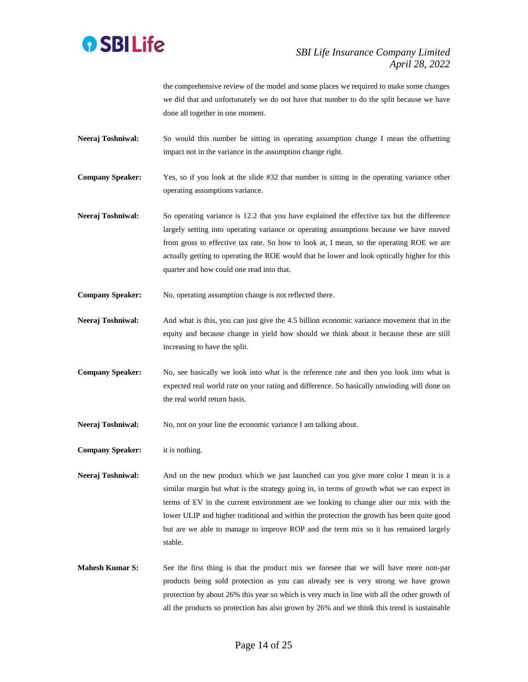

the comprehensive review of the model and some places we required to make some changes we did that and unfortunately we do not have that number to do the split because we have done all together in one moment.

- **Neeraj Toshniwal:** So would this number be sitting in operating assumption change I mean the offsetting impact not in the variance in the assumption change right.
- **Company Speaker:** Yes, so if you look at the slide #32 that number is sitting in the operating variance other operating assumptions variance.
- **Neeraj Toshniwal:** So operating variance is 12.2 that you have explained the effective tax but the difference largely setting into operating variance or operating assumptions because we have moved from gross to effective tax rate. So how to look at, I mean, so the operating ROE we are actually getting to operating the ROE would that be lower and look optically higher for this quarter and how could one read into that.
- **Company Speaker:** No, operating assumption change is not reflected there.
- **Neeraj Toshniwal:** And what is this, you can just give the 4.5 billion economic variance movement that in the equity and because change in yield how should we think about it because these are still increasing to have the split.
- **Company Speaker:** No, see basically we look into what is the reference rate and then you look into what is expected real world rate on your rating and difference. So basically unwinding will done on the real world return basis.
- Neeraj Toshniwal: No, not on your line the economic variance I am talking about.
- **Company Speaker:** it is nothing.

**Neeraj Toshniwal:** And on the new product which we just launched can you give more color I mean it is a similar margin but what is the strategy going in, in terms of growth what we can expect in terms of EV in the current environment are we looking to change alter our mix with the lower ULIP and higher traditional and within the protection the growth has been quite good but are we able to manage to improve ROP and the term mix so it has remained largely stable.

**Mahesh Kumar S:** See the first thing is that the product mix we foresee that we will have more non-par products being sold protection as you can already see is very strong we have grown protection by about 26% this year so which is very much in line with all the other growth of all the products so protection has also grown by 26% and we think this trend is sustainable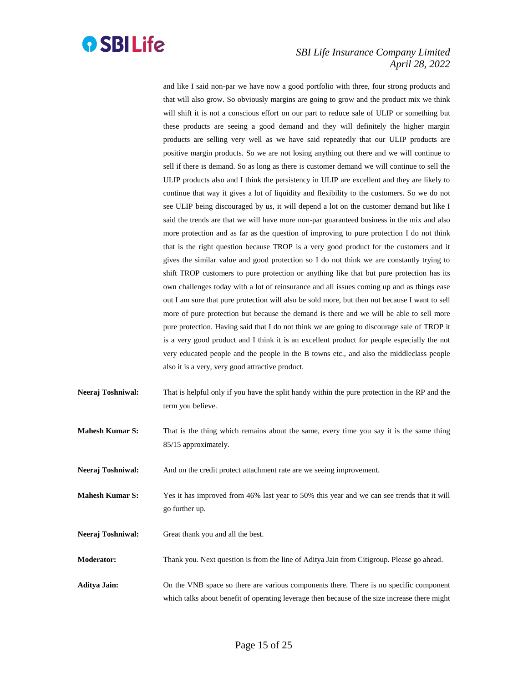

and like I said non-par we have now a good portfolio with three, four strong products and that will also grow. So obviously margins are going to grow and the product mix we think will shift it is not a conscious effort on our part to reduce sale of ULIP or something but these products are seeing a good demand and they will definitely the higher margin products are selling very well as we have said repeatedly that our ULIP products are positive margin products. So we are not losing anything out there and we will continue to sell if there is demand. So as long as there is customer demand we will continue to sell the ULIP products also and I think the persistency in ULIP are excellent and they are likely to continue that way it gives a lot of liquidity and flexibility to the customers. So we do not see ULIP being discouraged by us, it will depend a lot on the customer demand but like I said the trends are that we will have more non-par guaranteed business in the mix and also more protection and as far as the question of improving to pure protection I do not think that is the right question because TROP is a very good product for the customers and it gives the similar value and good protection so I do not think we are constantly trying to shift TROP customers to pure protection or anything like that but pure protection has its own challenges today with a lot of reinsurance and all issues coming up and as things ease out I am sure that pure protection will also be sold more, but then not because I want to sell more of pure protection but because the demand is there and we will be able to sell more pure protection. Having said that I do not think we are going to discourage sale of TROP it is a very good product and I think it is an excellent product for people especially the not very educated people and the people in the B towns etc., and also the middleclass people also it is a very, very good attractive product.

**Neeraj Toshniwal:** That is helpful only if you have the split handy within the pure protection in the RP and the term you believe.

**Mahesh Kumar S:** That is the thing which remains about the same, every time you say it is the same thing 85/15 approximately.

**Neeraj Toshniwal:** And on the credit protect attachment rate are we seeing improvement.

- **Mahesh Kumar S:** Yes it has improved from 46% last year to 50% this year and we can see trends that it will go further up.
- **Neeraj Toshniwal:** Great thank you and all the best.

**Moderator:** Thank you. Next question is from the line of Aditya Jain from Citigroup. Please go ahead.

**Aditya Jain:** On the VNB space so there are various components there. There is no specific component which talks about benefit of operating leverage then because of the size increase there might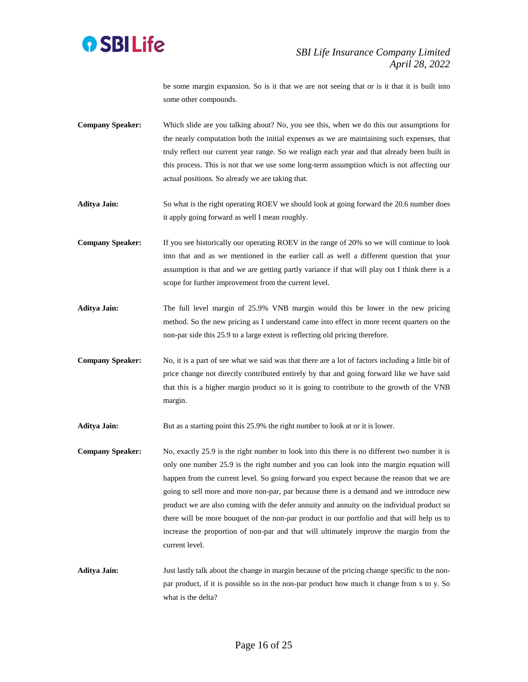

be some margin expansion. So is it that we are not seeing that or is it that it is built into some other compounds.

- **Company Speaker:** Which slide are you talking about? No, you see this, when we do this our assumptions for the nearly computation both the initial expenses as we are maintaining such expenses, that truly reflect our current year range. So we realign each year and that already been built in this process. This is not that we use some long-term assumption which is not affecting our actual positions. So already we are taking that.
- **Aditya Jain:** So what is the right operating ROEV we should look at going forward the 20.6 number does it apply going forward as well I mean roughly.
- **Company Speaker:** If you see historically our operating ROEV in the range of 20% so we will continue to look into that and as we mentioned in the earlier call as well a different question that your assumption is that and we are getting partly variance if that will play out I think there is a scope for further improvement from the current level.
- **Aditya Jain:** The full level margin of 25.9% VNB margin would this be lower in the new pricing method. So the new pricing as I understand came into effect in more recent quarters on the non-par side this 25.9 to a large extent is reflecting old pricing therefore.
- **Company Speaker:** No, it is a part of see what we said was that there are a lot of factors including a little bit of price change not directly contributed entirely by that and going forward like we have said that this is a higher margin product so it is going to contribute to the growth of the VNB margin.
- Aditya Jain: But as a starting point this 25.9% the right number to look at or it is lower.
- **Company Speaker:** No, exactly 25.9 is the right number to look into this there is no different two number it is only one number 25.9 is the right number and you can look into the margin equation will happen from the current level. So going forward you expect because the reason that we are going to sell more and more non-par, par because there is a demand and we introduce new product we are also coming with the defer annuity and annuity on the individual product so there will be more bouquet of the non-par product in our portfolio and that will help us to increase the proportion of non-par and that will ultimately improve the margin from the current level.
- **Aditya Jain:** Just lastly talk about the change in margin because of the pricing change specific to the nonpar product, if it is possible so in the non-par product how much it change from x to y. So what is the delta?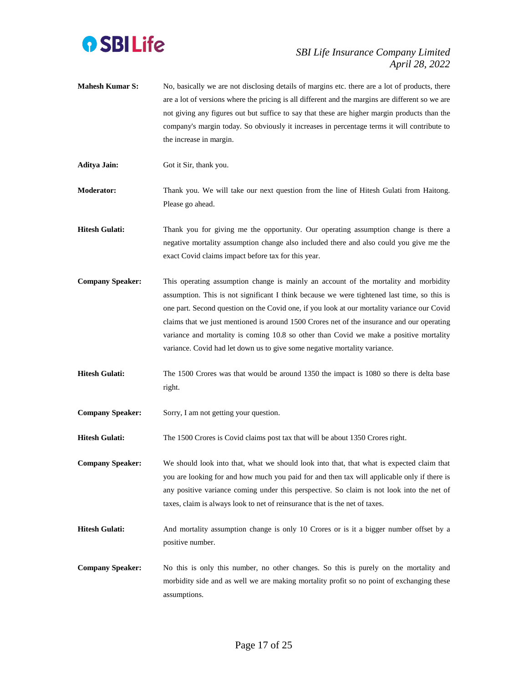

- **Mahesh Kumar S:** No, basically we are not disclosing details of margins etc. there are a lot of products, there are a lot of versions where the pricing is all different and the margins are different so we are not giving any figures out but suffice to say that these are higher margin products than the company's margin today. So obviously it increases in percentage terms it will contribute to the increase in margin.
- **Aditya Jain:** Got it Sir, thank you.

**Moderator:** Thank you. We will take our next question from the line of Hitesh Gulati from Haitong. Please go ahead.

- **Hitesh Gulati:** Thank you for giving me the opportunity. Our operating assumption change is there a negative mortality assumption change also included there and also could you give me the exact Covid claims impact before tax for this year.
- **Company Speaker:** This operating assumption change is mainly an account of the mortality and morbidity assumption. This is not significant I think because we were tightened last time, so this is one part. Second question on the Covid one, if you look at our mortality variance our Covid claims that we just mentioned is around 1500 Crores net of the insurance and our operating variance and mortality is coming 10.8 so other than Covid we make a positive mortality variance. Covid had let down us to give some negative mortality variance.
- **Hitesh Gulati:** The 1500 Crores was that would be around 1350 the impact is 1080 so there is delta base right.
- **Company Speaker:** Sorry, I am not getting your question.

**Hitesh Gulati:** The 1500 Crores is Covid claims post tax that will be about 1350 Crores right.

**Company Speaker:** We should look into that, what we should look into that, that what is expected claim that you are looking for and how much you paid for and then tax will applicable only if there is any positive variance coming under this perspective. So claim is not look into the net of taxes, claim is always look to net of reinsurance that is the net of taxes.

- **Hitesh Gulati:** And mortality assumption change is only 10 Crores or is it a bigger number offset by a positive number.
- **Company Speaker:** No this is only this number, no other changes. So this is purely on the mortality and morbidity side and as well we are making mortality profit so no point of exchanging these assumptions.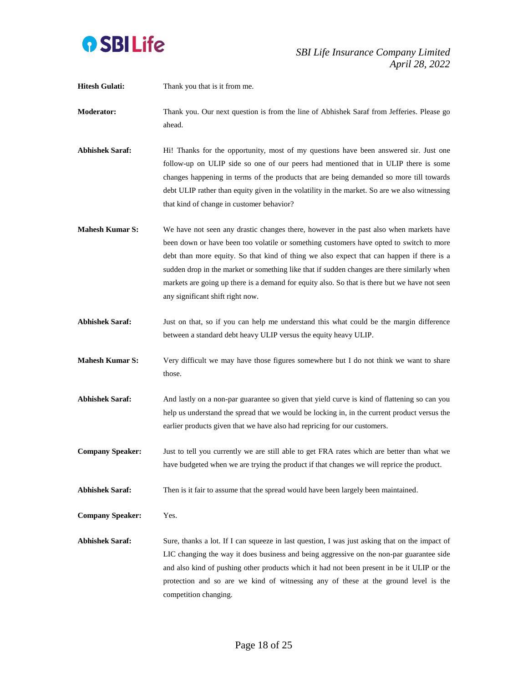

- **Hitesh Gulati:** Thank you that is it from me.
- **Moderator:** Thank you. Our next question is from the line of Abhishek Saraf from Jefferies. Please go ahead.
- Abhishek Saraf: Hi! Thanks for the opportunity, most of my questions have been answered sir. Just one follow-up on ULIP side so one of our peers had mentioned that in ULIP there is some changes happening in terms of the products that are being demanded so more till towards debt ULIP rather than equity given in the volatility in the market. So are we also witnessing that kind of change in customer behavior?
- **Mahesh Kumar S:** We have not seen any drastic changes there, however in the past also when markets have been down or have been too volatile or something customers have opted to switch to more debt than more equity. So that kind of thing we also expect that can happen if there is a sudden drop in the market or something like that if sudden changes are there similarly when markets are going up there is a demand for equity also. So that is there but we have not seen any significant shift right now.
- **Abhishek Saraf:** Just on that, so if you can help me understand this what could be the margin difference between a standard debt heavy ULIP versus the equity heavy ULIP.
- **Mahesh Kumar S:** Very difficult we may have those figures somewhere but I do not think we want to share those.
- Abhishek Saraf: And lastly on a non-par guarantee so given that yield curve is kind of flattening so can you help us understand the spread that we would be locking in, in the current product versus the earlier products given that we have also had repricing for our customers.
- **Company Speaker:** Just to tell you currently we are still able to get FRA rates which are better than what we have budgeted when we are trying the product if that changes we will reprice the product.
- **Abhishek Saraf:** Then is it fair to assume that the spread would have been largely been maintained.

**Company Speaker:** Yes.

**Abhishek Saraf:** Sure, thanks a lot. If I can squeeze in last question, I was just asking that on the impact of LIC changing the way it does business and being aggressive on the non-par guarantee side and also kind of pushing other products which it had not been present in be it ULIP or the protection and so are we kind of witnessing any of these at the ground level is the competition changing.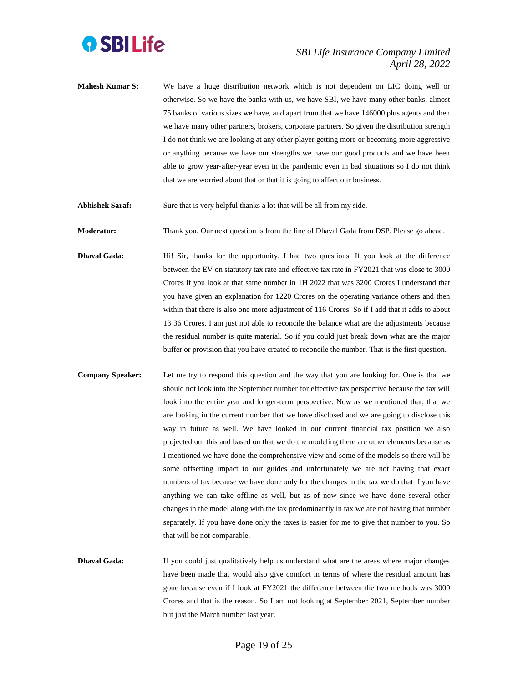

**Mahesh Kumar S:** We have a huge distribution network which is not dependent on LIC doing well or otherwise. So we have the banks with us, we have SBI, we have many other banks, almost 75 banks of various sizes we have, and apart from that we have 146000 plus agents and then we have many other partners, brokers, corporate partners. So given the distribution strength I do not think we are looking at any other player getting more or becoming more aggressive or anything because we have our strengths we have our good products and we have been able to grow year-after-year even in the pandemic even in bad situations so I do not think that we are worried about that or that it is going to affect our business.

**Abhishek Saraf:** Sure that is very helpful thanks a lot that will be all from my side.

**Moderator:** Thank you. Our next question is from the line of Dhaval Gada from DSP. Please go ahead.

- **Dhaval Gada:** Hi! Sir, thanks for the opportunity. I had two questions. If you look at the difference between the EV on statutory tax rate and effective tax rate in FY2021 that was close to 3000 Crores if you look at that same number in 1H 2022 that was 3200 Crores I understand that you have given an explanation for 1220 Crores on the operating variance others and then within that there is also one more adjustment of 116 Crores. So if I add that it adds to about 13 36 Crores. I am just not able to reconcile the balance what are the adjustments because the residual number is quite material. So if you could just break down what are the major buffer or provision that you have created to reconcile the number. That is the first question.
- **Company Speaker:** Let me try to respond this question and the way that you are looking for. One is that we should not look into the September number for effective tax perspective because the tax will look into the entire year and longer-term perspective. Now as we mentioned that, that we are looking in the current number that we have disclosed and we are going to disclose this way in future as well. We have looked in our current financial tax position we also projected out this and based on that we do the modeling there are other elements because as I mentioned we have done the comprehensive view and some of the models so there will be some offsetting impact to our guides and unfortunately we are not having that exact numbers of tax because we have done only for the changes in the tax we do that if you have anything we can take offline as well, but as of now since we have done several other changes in the model along with the tax predominantly in tax we are not having that number separately. If you have done only the taxes is easier for me to give that number to you. So that will be not comparable.

**Dhaval Gada:** If you could just qualitatively help us understand what are the areas where major changes have been made that would also give comfort in terms of where the residual amount has gone because even if I look at FY2021 the difference between the two methods was 3000 Crores and that is the reason. So I am not looking at September 2021, September number but just the March number last year.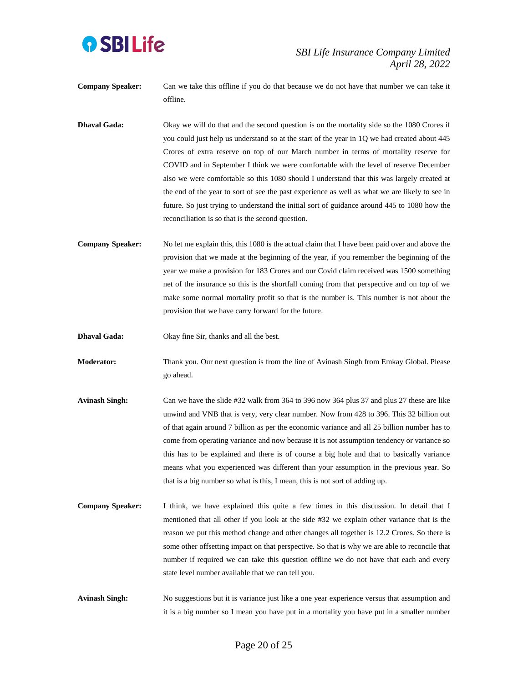

**Company Speaker:** Can we take this offline if you do that because we do not have that number we can take it offline.

**Dhaval Gada:** Okay we will do that and the second question is on the mortality side so the 1080 Crores if you could just help us understand so at the start of the year in 1Q we had created about 445 Crores of extra reserve on top of our March number in terms of mortality reserve for COVID and in September I think we were comfortable with the level of reserve December also we were comfortable so this 1080 should I understand that this was largely created at the end of the year to sort of see the past experience as well as what we are likely to see in future. So just trying to understand the initial sort of guidance around 445 to 1080 how the reconciliation is so that is the second question.

**Company Speaker:** No let me explain this, this 1080 is the actual claim that I have been paid over and above the provision that we made at the beginning of the year, if you remember the beginning of the year we make a provision for 183 Crores and our Covid claim received was 1500 something net of the insurance so this is the shortfall coming from that perspective and on top of we make some normal mortality profit so that is the number is. This number is not about the provision that we have carry forward for the future.

**Dhaval Gada:** Okay fine Sir, thanks and all the best.

**Moderator:** Thank you. Our next question is from the line of Avinash Singh from Emkay Global. Please go ahead.

- **Avinash Singh:** Can we have the slide #32 walk from 364 to 396 now 364 plus 37 and plus 27 these are like unwind and VNB that is very, very clear number. Now from 428 to 396. This 32 billion out of that again around 7 billion as per the economic variance and all 25 billion number has to come from operating variance and now because it is not assumption tendency or variance so this has to be explained and there is of course a big hole and that to basically variance means what you experienced was different than your assumption in the previous year. So that is a big number so what is this, I mean, this is not sort of adding up.
- **Company Speaker:** I think, we have explained this quite a few times in this discussion. In detail that I mentioned that all other if you look at the side #32 we explain other variance that is the reason we put this method change and other changes all together is 12.2 Crores. So there is some other offsetting impact on that perspective. So that is why we are able to reconcile that number if required we can take this question offline we do not have that each and every state level number available that we can tell you.

**Avinash Singh:** No suggestions but it is variance just like a one year experience versus that assumption and it is a big number so I mean you have put in a mortality you have put in a smaller number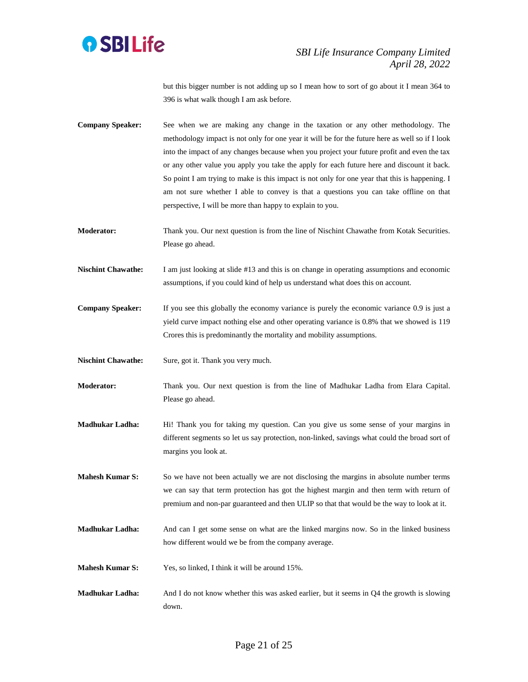

but this bigger number is not adding up so I mean how to sort of go about it I mean 364 to 396 is what walk though I am ask before.

- **Company Speaker:** See when we are making any change in the taxation or any other methodology. The methodology impact is not only for one year it will be for the future here as well so if I look into the impact of any changes because when you project your future profit and even the tax or any other value you apply you take the apply for each future here and discount it back. So point I am trying to make is this impact is not only for one year that this is happening. I am not sure whether I able to convey is that a questions you can take offline on that perspective, I will be more than happy to explain to you.
- **Moderator:** Thank you. Our next question is from the line of Nischint Chawathe from Kotak Securities. Please go ahead.
- **Nischint Chawathe:** I am just looking at slide #13 and this is on change in operating assumptions and economic assumptions, if you could kind of help us understand what does this on account.
- **Company Speaker:** If you see this globally the economy variance is purely the economic variance 0.9 is just a yield curve impact nothing else and other operating variance is 0.8% that we showed is 119 Crores this is predominantly the mortality and mobility assumptions.

Nischint Chawathe: Sure, got it. Thank you very much.

**Moderator:** Thank you. Our next question is from the line of Madhukar Ladha from Elara Capital. Please go ahead.

**Madhukar Ladha:** Hi! Thank you for taking my question. Can you give us some sense of your margins in different segments so let us say protection, non-linked, savings what could the broad sort of margins you look at.

**Mahesh Kumar S:** So we have not been actually we are not disclosing the margins in absolute number terms we can say that term protection has got the highest margin and then term with return of premium and non-par guaranteed and then ULIP so that that would be the way to look at it.

- **Madhukar Ladha:** And can I get some sense on what are the linked margins now. So in the linked business how different would we be from the company average.
- **Mahesh Kumar S:** Yes, so linked, I think it will be around 15%.
- **Madhukar Ladha:** And I do not know whether this was asked earlier, but it seems in Q4 the growth is slowing down.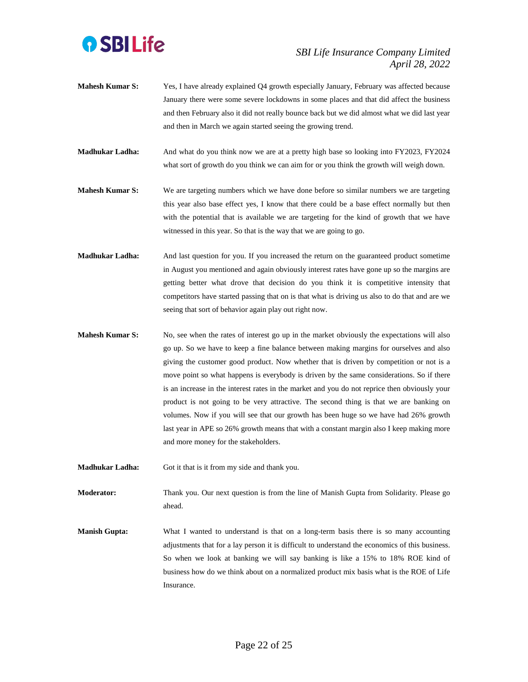

- **Mahesh Kumar S:** Yes, I have already explained Q4 growth especially January, February was affected because January there were some severe lockdowns in some places and that did affect the business and then February also it did not really bounce back but we did almost what we did last year and then in March we again started seeing the growing trend.
- **Madhukar Ladha:** And what do you think now we are at a pretty high base so looking into FY2023, FY2024 what sort of growth do you think we can aim for or you think the growth will weigh down.
- **Mahesh Kumar S:** We are targeting numbers which we have done before so similar numbers we are targeting this year also base effect yes, I know that there could be a base effect normally but then with the potential that is available we are targeting for the kind of growth that we have witnessed in this year. So that is the way that we are going to go.
- **Madhukar Ladha:** And last question for you. If you increased the return on the guaranteed product sometime in August you mentioned and again obviously interest rates have gone up so the margins are getting better what drove that decision do you think it is competitive intensity that competitors have started passing that on is that what is driving us also to do that and are we seeing that sort of behavior again play out right now.
- **Mahesh Kumar S:** No, see when the rates of interest go up in the market obviously the expectations will also go up. So we have to keep a fine balance between making margins for ourselves and also giving the customer good product. Now whether that is driven by competition or not is a move point so what happens is everybody is driven by the same considerations. So if there is an increase in the interest rates in the market and you do not reprice then obviously your product is not going to be very attractive. The second thing is that we are banking on volumes. Now if you will see that our growth has been huge so we have had 26% growth last year in APE so 26% growth means that with a constant margin also I keep making more and more money for the stakeholders.
- **Madhukar Ladha:** Got it that is it from my side and thank you.

**Moderator:** Thank you. Our next question is from the line of Manish Gupta from Solidarity. Please go ahead.

**Manish Gupta:** What I wanted to understand is that on a long-term basis there is so many accounting adjustments that for a lay person it is difficult to understand the economics of this business. So when we look at banking we will say banking is like a 15% to 18% ROE kind of business how do we think about on a normalized product mix basis what is the ROE of Life Insurance.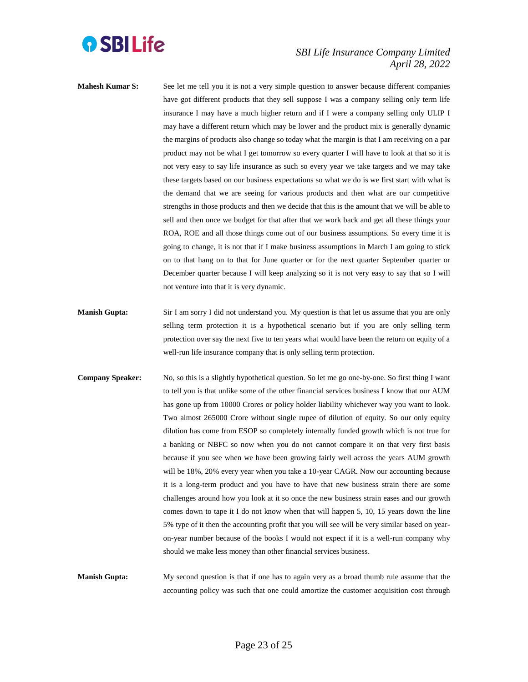

- **Mahesh Kumar S:** See let me tell you it is not a very simple question to answer because different companies have got different products that they sell suppose I was a company selling only term life insurance I may have a much higher return and if I were a company selling only ULIP I may have a different return which may be lower and the product mix is generally dynamic the margins of products also change so today what the margin is that I am receiving on a par product may not be what I get tomorrow so every quarter I will have to look at that so it is not very easy to say life insurance as such so every year we take targets and we may take these targets based on our business expectations so what we do is we first start with what is the demand that we are seeing for various products and then what are our competitive strengths in those products and then we decide that this is the amount that we will be able to sell and then once we budget for that after that we work back and get all these things your ROA, ROE and all those things come out of our business assumptions. So every time it is going to change, it is not that if I make business assumptions in March I am going to stick on to that hang on to that for June quarter or for the next quarter September quarter or December quarter because I will keep analyzing so it is not very easy to say that so I will not venture into that it is very dynamic.
- **Manish Gupta:** Sir I am sorry I did not understand you. My question is that let us assume that you are only selling term protection it is a hypothetical scenario but if you are only selling term protection over say the next five to ten years what would have been the return on equity of a well-run life insurance company that is only selling term protection.
- **Company Speaker:** No, so this is a slightly hypothetical question. So let me go one-by-one. So first thing I want to tell you is that unlike some of the other financial services business I know that our AUM has gone up from 10000 Crores or policy holder liability whichever way you want to look. Two almost 265000 Crore without single rupee of dilution of equity. So our only equity dilution has come from ESOP so completely internally funded growth which is not true for a banking or NBFC so now when you do not cannot compare it on that very first basis because if you see when we have been growing fairly well across the years AUM growth will be 18%, 20% every year when you take a 10-year CAGR. Now our accounting because it is a long-term product and you have to have that new business strain there are some challenges around how you look at it so once the new business strain eases and our growth comes down to tape it I do not know when that will happen 5, 10, 15 years down the line 5% type of it then the accounting profit that you will see will be very similar based on yearon-year number because of the books I would not expect if it is a well-run company why should we make less money than other financial services business.

**Manish Gupta:** My second question is that if one has to again very as a broad thumb rule assume that the accounting policy was such that one could amortize the customer acquisition cost through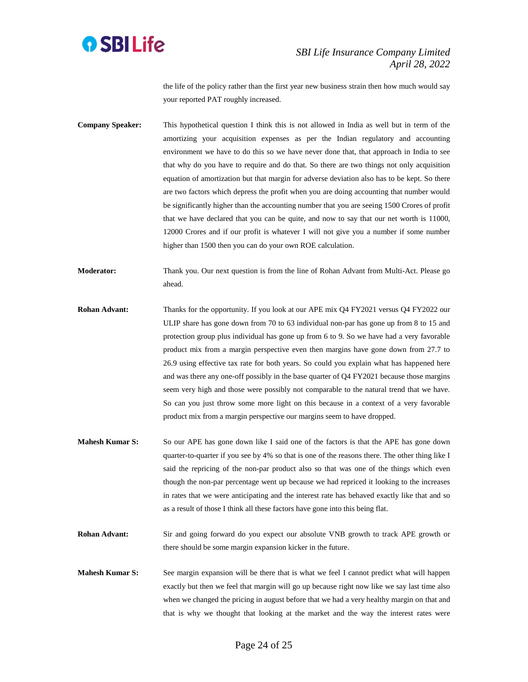

the life of the policy rather than the first year new business strain then how much would say your reported PAT roughly increased.

**Company Speaker:** This hypothetical question I think this is not allowed in India as well but in term of the amortizing your acquisition expenses as per the Indian regulatory and accounting environment we have to do this so we have never done that, that approach in India to see that why do you have to require and do that. So there are two things not only acquisition equation of amortization but that margin for adverse deviation also has to be kept. So there are two factors which depress the profit when you are doing accounting that number would be significantly higher than the accounting number that you are seeing 1500 Crores of profit that we have declared that you can be quite, and now to say that our net worth is 11000, 12000 Crores and if our profit is whatever I will not give you a number if some number higher than 1500 then you can do your own ROE calculation.

**Moderator:** Thank you. Our next question is from the line of Rohan Advant from Multi-Act. Please go ahead.

- **Rohan Advant:** Thanks for the opportunity. If you look at our APE mix Q4 FY2021 versus Q4 FY2022 our ULIP share has gone down from 70 to 63 individual non-par has gone up from 8 to 15 and protection group plus individual has gone up from 6 to 9. So we have had a very favorable product mix from a margin perspective even then margins have gone down from 27.7 to 26.9 using effective tax rate for both years. So could you explain what has happened here and was there any one-off possibly in the base quarter of Q4 FY2021 because those margins seem very high and those were possibly not comparable to the natural trend that we have. So can you just throw some more light on this because in a context of a very favorable product mix from a margin perspective our margins seem to have dropped.
- **Mahesh Kumar S:** So our APE has gone down like I said one of the factors is that the APE has gone down quarter-to-quarter if you see by 4% so that is one of the reasons there. The other thing like I said the repricing of the non-par product also so that was one of the things which even though the non-par percentage went up because we had repriced it looking to the increases in rates that we were anticipating and the interest rate has behaved exactly like that and so as a result of those I think all these factors have gone into this being flat.
- **Rohan Advant:** Sir and going forward do you expect our absolute VNB growth to track APE growth or there should be some margin expansion kicker in the future.
- **Mahesh Kumar S:** See margin expansion will be there that is what we feel I cannot predict what will happen exactly but then we feel that margin will go up because right now like we say last time also when we changed the pricing in august before that we had a very healthy margin on that and that is why we thought that looking at the market and the way the interest rates were